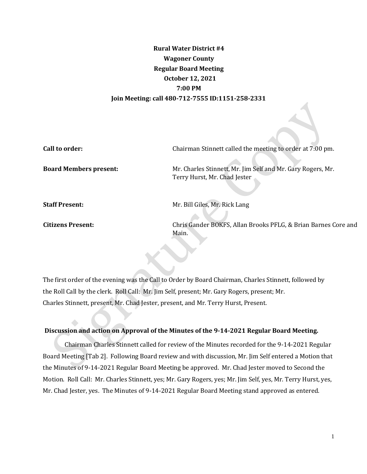# **Rural Water District #4 Wagoner County Regular Board Meeting October 12, 2021 7:00 PM Join Meeting: call 480-712-7555 ID:1151-258-2331**

**Call to order: Chairman Stinnett called the meeting to order at 7:00 pm.** 

**Board Members present:** Mr. Charles Stinnett, Mr. Jim Self and Mr. Gary Rogers, Mr. Terry Hurst, Mr. Chad Jester

**Staff Present:** Mr. Bill Giles, Mr. Rick Lang

**Citizens Present:** Chris Gander BOKFS, Allan Brooks PFLG, & Brian Barnes Core and Main.

The first order of the evening was the Call to Order by Board Chairman, Charles Stinnett, followed by the Roll Call by the clerk. Roll Call: Mr. Jim Self, present; Mr. Gary Rogers, present; Mr. Charles Stinnett, present, Mr. Chad Jester, present, and Mr. Terry Hurst, Present.

# **Discussion and action on Approval of the Minutes of the 9-14-2021 Regular Board Meeting.**

Chairman Charles Stinnett called for review of the Minutes recorded for the 9-14-2021 Regular Board Meeting [Tab 2]. Following Board review and with discussion, Mr. Jim Self entered a Motion that the Minutes of 9-14-2021 Regular Board Meeting be approved. Mr. Chad Jester moved to Second the Motion. Roll Call: Mr. Charles Stinnett, yes; Mr. Gary Rogers, yes; Mr. Jim Self, yes, Mr. Terry Hurst, yes, Mr. Chad Jester, yes. The Minutes of 9-14-2021 Regular Board Meeting stand approved as entered.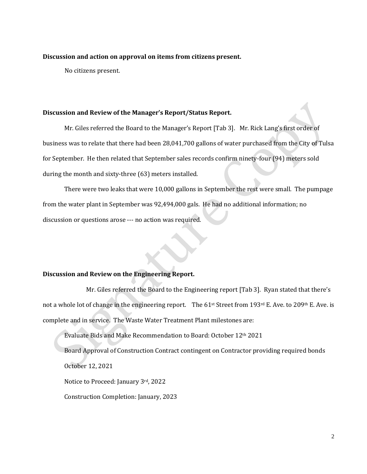#### **Discussion and action on approval on items from citizens present.**

No citizens present.

#### **Discussion and Review of the Manager's Report/Status Report.**

Mr. Giles referred the Board to the Manager's Report [Tab 3]. Mr. Rick Lang's first order of business was to relate that there had been 28,041,700 gallons of water purchased from the City of Tulsa for September. He then related that September sales records confirm ninety-four (94) meters sold during the month and sixty-three (63) meters installed.

There were two leaks that were 10,000 gallons in September the rest were small. The pumpage from the water plant in September was 92,494,000 gals. He had no additional information; no discussion or questions arose --- no action was required.

### **Discussion and Review on the Engineering Report.**

Mr. Giles referred the Board to the Engineering report [Tab 3]. Ryan stated that there's not a whole lot of change in the engineering report. The 61<sup>st</sup> Street from 193<sup>rd</sup> E. Ave. to 209<sup>th</sup> E. Ave. is complete and in service. The Waste Water Treatment Plant milestones are:

Evaluate Bids and Make Recommendation to Board: October 12th 2021

Board Approval of Construction Contract contingent on Contractor providing required bonds October 12, 2021

Notice to Proceed: January 3rd, 2022

Construction Completion: January, 2023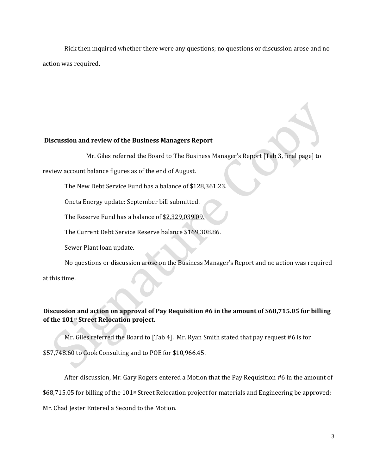Rick then inquired whether there were any questions; no questions or discussion arose and no action was required.

#### **Discussion and review of the Business Managers Report**

Mr. Giles referred the Board to The Business Manager's Report [Tab 3, final page] to

review account balance figures as of the end of August.

The New Debt Service Fund has a balance of \$128,361.23.

Oneta Energy update: September bill submitted.

The Reserve Fund has a balance of \$2,329,039.09.

The Current Debt Service Reserve balance \$169,308.86.

Sewer Plant loan update.

No questions or discussion arose on the Business Manager's Report and no action was required

at this time.

# **Discussion and action on approval of Pay Requisition #6 in the amount of \$68,715.05 for billing of the 101st Street Relocation project.**

Mr. Giles referred the Board to [Tab 4]. Mr. Ryan Smith stated that pay request #6 is for

\$57,748.60 to Cook Consulting and to POE for \$10,966.45.

After discussion, Mr. Gary Rogers entered a Motion that the Pay Requisition #6 in the amount of \$68,715.05 for billing of the 101<sup>st</sup> Street Relocation project for materials and Engineering be approved; Mr. Chad Jester Entered a Second to the Motion.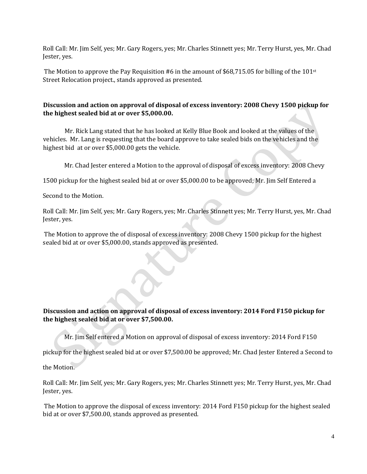Roll Call: Mr. Jim Self, yes; Mr. Gary Rogers, yes; Mr. Charles Stinnett yes; Mr. Terry Hurst, yes, Mr. Chad Jester, yes.

The Motion to approve the Pay Requisition #6 in the amount of \$68,715.05 for billing of the 101st Street Relocation project., stands approved as presented.

# **Discussion and action on approval of disposal of excess inventory: 2008 Chevy 1500 pickup for the highest sealed bid at or over \$5,000.00.**

Mr. Rick Lang stated that he has looked at Kelly Blue Book and looked at the values of the vehicles. Mr. Lang is requesting that the board approve to take sealed bids on the vehicles and the highest bid at or over \$5,000.00 gets the vehicle.

Mr. Chad Jester entered a Motion to the approval of disposal of excess inventory: 2008 Chevy

1500 pickup for the highest sealed bid at or over \$5,000.00 to be approved; Mr. Jim Self Entered a

Second to the Motion.

Roll Call: Mr. Jim Self, yes; Mr. Gary Rogers, yes; Mr. Charles Stinnett yes; Mr. Terry Hurst, yes, Mr. Chad Jester, yes.

The Motion to approve the of disposal of excess inventory: 2008 Chevy 1500 pickup for the highest sealed bid at or over \$5,000.00, stands approved as presented.

# **Discussion and action on approval of disposal of excess inventory: 2014 Ford F150 pickup for the highest sealed bid at or over \$7,500.00.**

Mr. Jim Self entered a Motion on approval of disposal of excess inventory: 2014 Ford F150

pickup for the highest sealed bid at or over \$7,500.00 be approved; Mr. Chad Jester Entered a Second to

the Motion.

Roll Call: Mr. Jim Self, yes; Mr. Gary Rogers, yes; Mr. Charles Stinnett yes; Mr. Terry Hurst, yes, Mr. Chad Jester, yes.

The Motion to approve the disposal of excess inventory: 2014 Ford F150 pickup for the highest sealed bid at or over \$7,500.00, stands approved as presented.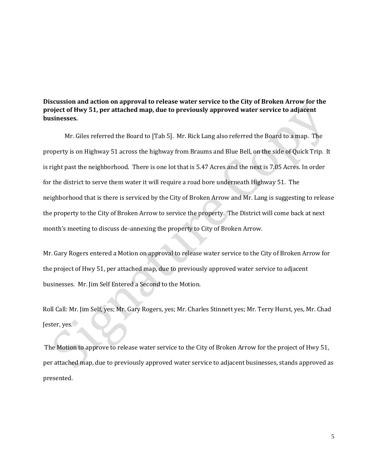# **Discussion and action on approval to release water service to the City of Broken Arrow for the project of Hwy 51, per attached map, due to previously approved water service to adjacent businesses.**

Mr. Giles referred the Board to [Tab 5]. Mr. Rick Lang also referred the Board to a map. The property is on Highway 51 across the highway from Braums and Blue Bell, on the side of Quick Trip. It is right past the neighborhood. There is one lot that is 5.47 Acres and the next is 7.05 Acres. In order for the district to serve them water it will require a road bore underneath Highway 51. The neighborhood that is there is serviced by the City of Broken Arrow and Mr. Lang is suggesting to release the property to the City of Broken Arrow to service the property. The District will come back at next month's meeting to discuss de-annexing the property to City of Broken Arrow.

Mr. Gary Rogers entered a Motion on approval to release water service to the City of Broken Arrow for the project of Hwy 51, per attached map, due to previously approved water service to adjacent businesses. Mr. Jim Self Entered a Second to the Motion.

Roll Call: Mr. Jim Self, yes; Mr. Gary Rogers, yes; Mr. Charles Stinnett yes; Mr. Terry Hurst, yes, Mr. Chad Jester, yes.

The Motion to approve to release water service to the City of Broken Arrow for the project of Hwy 51, per attached map, due to previously approved water service to adjacent businesses, stands approved as presented.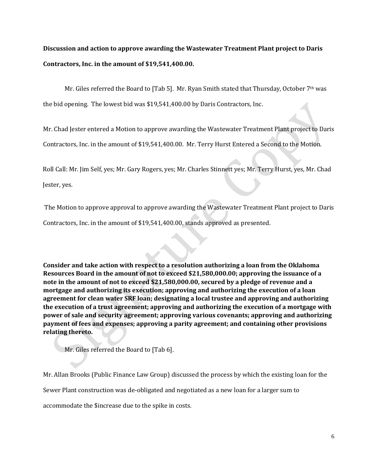**Discussion and action to approve awarding the Wastewater Treatment Plant project to Daris Contractors, Inc. in the amount of \$19,541,400.00.**

Mr. Giles referred the Board to [Tab 5]. Mr. Ryan Smith stated that Thursday, October 7<sup>th</sup> was

the bid opening. The lowest bid was \$19,541,400.00 by Daris Contractors, Inc.

Mr. Chad Jester entered a Motion to approve awarding the Wastewater Treatment Plant project to Daris

Contractors, Inc. in the amount of \$19,541,400.00. Mr. Terry Hurst Entered a Second to the Motion.

Roll Call: Mr. Jim Self, yes; Mr. Gary Rogers, yes; Mr. Charles Stinnett yes; Mr. Terry Hurst, yes, Mr. Chad

Jester, yes.

The Motion to approve approval to approve awarding the Wastewater Treatment Plant project to Daris Contractors, Inc. in the amount of \$19,541,400.00, stands approved as presented.

**Consider and take action with respect to a resolution authorizing a loan from the Oklahoma Resources Board in the amount of not to exceed \$21,580,000.00; approving the issuance of a note in the amount of not to exceed \$21,580,000.00, secured by a pledge of revenue and a mortgage and authorizing its execution; approving and authorizing the execution of a loan agreement for clean water SRF loan; designating a local trustee and approving and authorizing the execution of a trust agreement; approving and authorizing the execution of a mortgage with power of sale and security agreement; approving various covenants; approving and authorizing payment of fees and expenses; approving a parity agreement; and containing other provisions relating thereto.**

Mr. Giles referred the Board to [Tab 6].

Mr. Allan Brooks (Public Finance Law Group) discussed the process by which the existing loan for the

Sewer Plant construction was de-obligated and negotiated as a new loan for a larger sum to

accommodate the \$increase due to the spike in costs.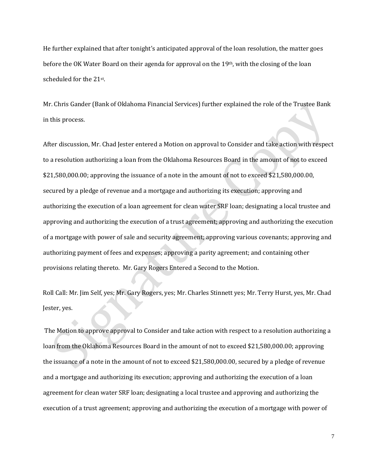He further explained that after tonight's anticipated approval of the loan resolution, the matter goes before the OK Water Board on their agenda for approval on the  $19th$ , with the closing of the loan scheduled for the 21st.

Mr. Chris Gander (Bank of Oklahoma Financial Services) further explained the role of the Trustee Bank in this process.

After discussion, Mr. Chad Jester entered a Motion on approval to Consider and take action with respect to a resolution authorizing a loan from the Oklahoma Resources Board in the amount of not to exceed \$21,580,000.00; approving the issuance of a note in the amount of not to exceed \$21,580,000.00, secured by a pledge of revenue and a mortgage and authorizing its execution; approving and authorizing the execution of a loan agreement for clean water SRF loan; designating a local trustee and approving and authorizing the execution of a trust agreement; approving and authorizing the execution of a mortgage with power of sale and security agreement; approving various covenants; approving and authorizing payment of fees and expenses; approving a parity agreement; and containing other provisions relating thereto.Mr. Gary Rogers Entered a Second to the Motion.

Roll Call: Mr. Jim Self, yes; Mr. Gary Rogers, yes; Mr. Charles Stinnett yes; Mr. Terry Hurst, yes, Mr. Chad Jester, yes.

The Motion to approve approval to Consider and take action with respect to a resolution authorizing a loan from the Oklahoma Resources Board in the amount of not to exceed \$21,580,000.00; approving the issuance of a note in the amount of not to exceed \$21,580,000.00, secured by a pledge of revenue and a mortgage and authorizing its execution; approving and authorizing the execution of a loan agreement for clean water SRF loan; designating a local trustee and approving and authorizing the execution of a trust agreement; approving and authorizing the execution of a mortgage with power of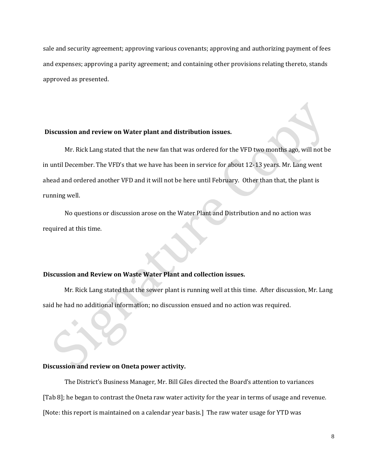sale and security agreement; approving various covenants; approving and authorizing payment of fees and expenses; approving a parity agreement; and containing other provisions relating thereto, stands approved as presented.

#### **Discussion and review on Water plant and distribution issues.**

Mr. Rick Lang stated that the new fan that was ordered for the VFD two months ago, will not be in until December. The VFD's that we have has been in service for about 12-13 years. Mr. Lang went ahead and ordered another VFD and it will not be here until February. Other than that, the plant is running well.

No questions or discussion arose on the Water Plant and Distribution and no action was required at this time.

# **Discussion and Review on Waste Water Plant and collection issues.**

Mr. Rick Lang stated that the sewer plant is running well at this time. After discussion, Mr. Lang said he had no additional information; no discussion ensued and no action was required.

#### **Discussion and review on Oneta power activity.**

The District's Business Manager, Mr. Bill Giles directed the Board's attention to variances [Tab 8]; he began to contrast the Oneta raw water activity for the year in terms of usage and revenue. [Note: this report is maintained on a calendar year basis.] The raw water usage for YTD was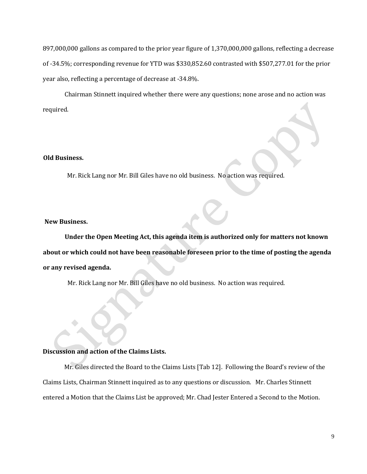897,000,000 gallons as compared to the prior year figure of 1,370,000,000 gallons, reflecting a decrease of -34.5%; corresponding revenue for YTD was \$330,852.60 contrasted with \$507,277.01 for the prior year also, reflecting a percentage of decrease at -34.8%.

Chairman Stinnett inquired whether there were any questions; none arose and no action was required.

### **Old Business.**

Mr. Rick Lang nor Mr. Bill Giles have no old business. No action was required.

### **New Business.**

**Under the Open Meeting Act, this agenda item is authorized only for matters not known about or which could not have been reasonable foreseen prior to the time of posting the agenda or any revised agenda.** 

Mr. Rick Lang nor Mr. Bill Giles have no old business. No action was required.

#### **Discussion and action of the Claims Lists.**

Mr. Giles directed the Board to the Claims Lists [Tab 12]. Following the Board's review of the Claims Lists, Chairman Stinnett inquired as to any questions or discussion. Mr. Charles Stinnett entered a Motion that the Claims List be approved; Mr. Chad Jester Entered a Second to the Motion.